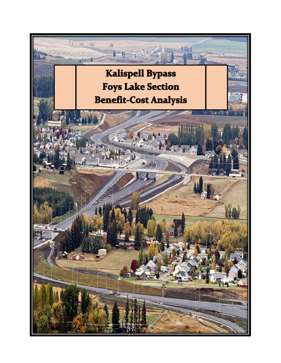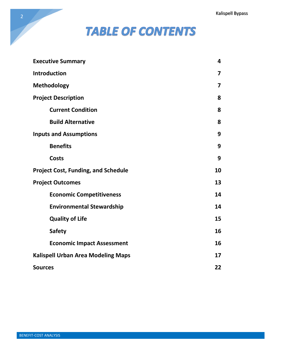# **TABLE OF CONTENTS**

| <b>Executive Summary</b>                   | 4                       |
|--------------------------------------------|-------------------------|
| <b>Introduction</b>                        | 7                       |
| <b>Methodology</b>                         | $\overline{\mathbf{z}}$ |
| <b>Project Description</b>                 | 8                       |
| <b>Current Condition</b>                   | 8                       |
| <b>Build Alternative</b>                   | 8                       |
| <b>Inputs and Assumptions</b>              | 9                       |
| <b>Benefits</b>                            | 9                       |
| <b>Costs</b>                               | 9                       |
| <b>Project Cost, Funding, and Schedule</b> | 10                      |
| <b>Project Outcomes</b>                    | 13                      |
| <b>Economic Competitiveness</b>            | 14                      |
| <b>Environmental Stewardship</b>           | 14                      |
| <b>Quality of Life</b>                     | 15                      |
| <b>Safety</b>                              | 16                      |
| <b>Economic Impact Assessment</b>          | 16                      |
| <b>Kalispell Urban Area Modeling Maps</b>  | 17                      |
| <b>Sources</b>                             | 22                      |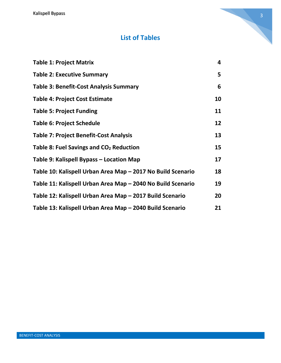Kalispell Bypass

# **List of Tables**

| <b>Table 1: Project Matrix</b>                              | 4  |
|-------------------------------------------------------------|----|
| <b>Table 2: Executive Summary</b>                           | 5  |
| <b>Table 3: Benefit-Cost Analysis Summary</b>               | 6  |
| <b>Table 4: Project Cost Estimate</b>                       | 10 |
| <b>Table 5: Project Funding</b>                             | 11 |
| <b>Table 6: Project Schedule</b>                            | 12 |
| <b>Table 7: Project Benefit-Cost Analysis</b>               | 13 |
| Table 8: Fuel Savings and CO <sub>2</sub> Reduction         | 15 |
| Table 9: Kalispell Bypass – Location Map                    | 17 |
| Table 10: Kalispell Urban Area Map - 2017 No Build Scenario | 18 |
| Table 11: Kalispell Urban Area Map - 2040 No Build Scenario | 19 |
| Table 12: Kalispell Urban Area Map - 2017 Build Scenario    | 20 |
| Table 13: Kalispell Urban Area Map - 2040 Build Scenario    | 21 |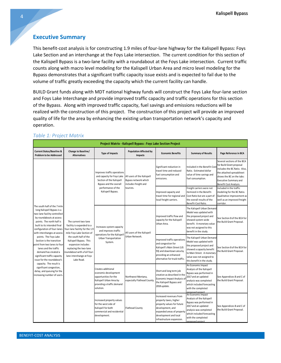#### **Executive Summary**

This benefit-cost analysis is for constructing 1.9 miles of four-lane highway for the Kalispell Bypass: Foys Lake Section and an interchange at the Foys Lake intersection. The current condition for this section of the Kalispell Bypass is a two-lane facility with a roundabout at the Foys Lake intersection. Current traffic counts along with macro level modeling for the Kalispell Urban Area and micro level modeling for the Bypass demonstrates that a significant traffic capacity issue exists and is expected to fail due to the volume of traffic greatly exceeding the capacity which the current facility can handle.

BUILD Grant funds along with MDT national highway funds will construct the Foys Lake four-lane section and Foys Lake Interchange and provide improved traffic capacity and traffic operations for this section of the Bypass. Along with improved traffic capacity, fuel savings and emissions reductions will be realized with the construction of this project. The construction of this project will provide an improved quality of life for the area by enhancing the existing urban transportation network's capacity and operation.

| Project Matrix - Kalispell Bypass: Foys Lake Section Project                                                                                                                                                                                                                                                                                                                                                                                                                                                                                                                                                                                                                                                      |                                                                                         |                                                                                                                                           |                                                                                                                                                                                                                                                                          |                                                                                                                                                                                         |                                                                                                                                                                                                            |                                                                                                                                 |
|-------------------------------------------------------------------------------------------------------------------------------------------------------------------------------------------------------------------------------------------------------------------------------------------------------------------------------------------------------------------------------------------------------------------------------------------------------------------------------------------------------------------------------------------------------------------------------------------------------------------------------------------------------------------------------------------------------------------|-----------------------------------------------------------------------------------------|-------------------------------------------------------------------------------------------------------------------------------------------|--------------------------------------------------------------------------------------------------------------------------------------------------------------------------------------------------------------------------------------------------------------------------|-----------------------------------------------------------------------------------------------------------------------------------------------------------------------------------------|------------------------------------------------------------------------------------------------------------------------------------------------------------------------------------------------------------|---------------------------------------------------------------------------------------------------------------------------------|
| <b>Current Status/Baseline &amp;</b><br><b>Problem to be Addressed</b>                                                                                                                                                                                                                                                                                                                                                                                                                                                                                                                                                                                                                                            | Change to Baseline/<br><b>Alternatives</b>                                              | <b>Type of Impacts</b>                                                                                                                    | <b>Population Affected by</b><br>Impacts                                                                                                                                                                                                                                 | <b>Economic Benefits</b>                                                                                                                                                                | <b>Summary of Results</b>                                                                                                                                                                                  | Page Reference in BCA                                                                                                           |
| The south half of the 7 mile<br>long Kalispell Bypass is a<br>two-lane facility controlled<br>by roundabouts at access<br>points. The north half is<br>The current two-lane<br>built to its intended final<br>configuration of four-lanes<br>with interchanges at access<br>the south half of the<br>points. The Foys Lake<br>Section is the transition<br>Kalispell Bypass. This<br>point from two lanes to four<br>expansion includes<br>lanes and the traffic<br>replacing the two-lane<br>demand has created a<br>significant traffic capacity<br>issue for the roundabout's<br>Lake Road.<br>capacity. The result is<br>significant congestion,<br>delay, and queuing for the<br>increasing number of users. |                                                                                         | Improves traffic operations<br>and capacity for Foys Lake<br>Section of the Kalispell<br>Bypass and the overall                           | Significant reduction in<br>travel time and reduced<br>fuel consumption and<br>All users of the Kalispell<br>emissions.<br>Bypass network which<br>includes freight and<br>tourists.<br>Improved capacity and<br>travel time for regional and<br>local freight carriers. | Included in the Benefit-Cos<br>Ratio. Estimated dollar<br>value of time savings and<br>fuel consumption.                                                                                | Several sections of the BCA<br>for Build Grant proposal<br>includes the BC Ratio. Also,<br>the attached spreadsheet<br>shows the BC on the tabs:<br><b>Executive Summary and</b><br>Benefit Cost Analysis. |                                                                                                                                 |
|                                                                                                                                                                                                                                                                                                                                                                                                                                                                                                                                                                                                                                                                                                                   |                                                                                         | performance of the<br>Kalispell Bypass.                                                                                                   |                                                                                                                                                                                                                                                                          |                                                                                                                                                                                         | Freight carriers were not<br>itemized in the Benefit-<br>Cost Ratio but are a part of<br>the overall results of the<br>Benefit-Cost Ratio.                                                                 | Included in the traffic<br>modeling for the BC Ratio.<br>Qualitative improvement as<br>well as an improved freight<br>corridor. |
|                                                                                                                                                                                                                                                                                                                                                                                                                                                                                                                                                                                                                                                                                                                   | facility is expanded to a<br>our-lane facility for the 1.9<br>mile Foys Lake Section of | Increases system capacity<br>and improves traffic<br>operations for the Kalispell                                                         | All users of the Kalispell                                                                                                                                                                                                                                               | Improved traffic flow and<br>capacity for the Kalispell<br>Urban Area.                                                                                                                  | The Kalispell Urban Demand<br>Model was updated with<br>the proposed project and<br>showed system-wide<br>benefit. A monetary value<br>was not assigned to this<br>benefit in the study.                   | See Section 8 of the BCA for<br>the Build Grant Proposal.                                                                       |
|                                                                                                                                                                                                                                                                                                                                                                                                                                                                                                                                                                                                                                                                                                                   | roundabout with a full four-<br>lane interchange at Foys                                | Urban Transportation<br>System.                                                                                                           | Urban Network.                                                                                                                                                                                                                                                           | Improved traffic operations<br>and congestion for<br>Kalispell's Main Street (US<br>93) and downtown area by<br>providing an enhanced<br>alternative for truck traffic.                 | The Kalispell Urban Demand<br>Model was updated with<br>the proposed project and<br>showed a capacity benefit<br>to Main Street. A monetary<br>value was not assigned to<br>this benefit in the study.     | See Section 8 of the BCA for<br>the Build Grant Proposal.                                                                       |
|                                                                                                                                                                                                                                                                                                                                                                                                                                                                                                                                                                                                                                                                                                                   |                                                                                         | Creates additional<br>economic development<br>opportunities for the<br>Kalispell Urban Area by<br>providing a traffic demand<br>solution. | Northwest Montana,<br>especially Flathead County                                                                                                                                                                                                                         | Short and long term job<br>creation as described in the<br>Economic Impact Analysis of<br>the Kalispell Bypass and<br>2018 update.                                                      | An Economic Impact<br>Analysis of the Kalispell<br>Bypass was performed in<br>2017 and an updated<br>analysis was completed<br>which included forecasting<br>with the completed<br>proposed project.       | See Appendices B and C of<br>the Build Grant Proposal.                                                                          |
|                                                                                                                                                                                                                                                                                                                                                                                                                                                                                                                                                                                                                                                                                                                   |                                                                                         | Increased property values<br>for the west side of<br>Kalispell for both<br>commercial and residential<br>development.                     | <b>Flathead County</b>                                                                                                                                                                                                                                                   | Increased revenues from<br>property taxes, higher<br>property values for future<br>development, and<br>expanded areas of property<br>development and local<br>infrastructure expansion. | An Economic Impact<br>Analysis of the Kalispell<br>Bypass was performed in<br>2017 and an updated<br>analysis was completed<br>which included forecasting<br>with the completed<br>nronosed project        | See Appendices B and C of<br>the Build Grant Proposal.                                                                          |

#### *Table 1: Project Matrix*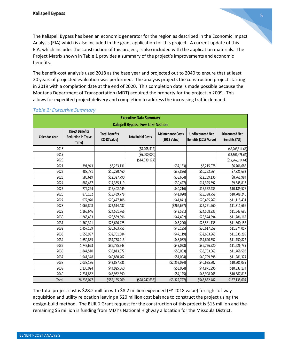The Kalispell Bypass has been an economic generator for the region as described in the Economic Impact Analysis (EIA) which is also included in the grant application for this project. A current update of this EIA, which includes the construction of this project, is also included with the application materials. The Project Matrix shown in Table 1 provides a summary of the project's improvements and economic benefits.

The benefit-cost analysis used 2018 as the base year and projected out to 2040 to ensure that at least 20 years of projected evaluation was performed. The analysis projects the construction project starting in 2019 with a completion date at the end of 2020. This completion date is made possible because the Montana Department of Transportation (MDT) acquired the property for the project in 2009. This allows for expedited project delivery and completion to address the increasing traffic demand.

| <b>Executive Data Summary</b>              |                                                         |                                       |                            |                                          |                                                  |                                        |  |
|--------------------------------------------|---------------------------------------------------------|---------------------------------------|----------------------------|------------------------------------------|--------------------------------------------------|----------------------------------------|--|
| <b>Kalispell Bypass: Foys Lake Section</b> |                                                         |                                       |                            |                                          |                                                  |                                        |  |
| <b>Calendar Year</b>                       | <b>Direct Benefits</b><br>(Reduction in Travel<br>Time) | <b>Total Benefits</b><br>(2018 Value) | <b>Total Initial Costs</b> | <b>Maintenance Costs</b><br>(2018 Value) | <b>Undiscounted Net</b><br>Benefits (2018 Value) | <b>Discounted Net</b><br>Benefits (7%) |  |
| 2018                                       |                                                         |                                       | ( \$8,208,512)             |                                          |                                                  | ( \$8,208,511.63)                      |  |
| 2019                                       |                                                         |                                       | ( \$6,000,000)             |                                          |                                                  | ( \$5,607,476.64)                      |  |
| 2020                                       |                                                         |                                       | (\$14,039,124)             |                                          |                                                  | (\$12,262,314.61)                      |  |
| 2021                                       | 391,943                                                 | \$8,253,131                           |                            | (537, 153)                               | \$8,215,978                                      | \$6,706,685                            |  |
| 2022                                       | 488,781                                                 | \$10,290,460                          |                            | ( \$37, 896)                             | \$10,252,564                                     | \$7,821,632                            |  |
| 2023                                       | 585,619                                                 | \$12,327,790                          |                            | ( \$38,654)                              | \$12,289,136                                     | \$8,761,984                            |  |
| 2024                                       | 682,457                                                 | \$14,365,119                          |                            | ( \$39,427)                              | \$14,325,692                                     | \$9,545,813                            |  |
| 2025                                       | 779,294                                                 | \$16,402,449                          |                            | (540, 216)                               | \$16,362,233                                     | \$10,189,576                           |  |
| 2026                                       | 876,132                                                 | \$18,439,778                          |                            | (541,020)                                | \$18,398,758                                     | \$10,708,245                           |  |
| 2027                                       | 972,970                                                 | \$20,477,108                          |                            | (541, 841)                               | \$20,435,267                                     | \$11,115,431                           |  |
| 2028                                       | 1,069,808                                               | \$22,514,437                          |                            | ( \$262, 677)                            | \$22,251,760                                     | \$11,311,666                           |  |
| 2029                                       | 1,166,646                                               | \$24,551,766                          |                            | (543, 531)                               | \$24,508,235                                     | \$11,643,686                           |  |
| 2030                                       | 1,263,483                                               | \$26,589,096                          |                            | (544, 402)                               | \$26,544,694                                     | \$11,786,162                           |  |
| 2031                                       | 1,360,321                                               | \$28,626,425                          |                            | (545, 290)                               | \$28,581,135                                     | \$11,860,155                           |  |
| 2032                                       | 1,457,159                                               | \$30,663,755                          |                            | (546, 195)                               | \$30,617,559                                     | \$11,874,017                           |  |
| 2033                                       | 1,553,997                                               | \$32,701,084                          |                            | (547, 119)                               | \$32,653,965                                     | \$11,835,299                           |  |
| 2034                                       | 1,650,835                                               | \$34,738,413                          |                            | (548,062)                                | \$34,690,352                                     | \$11,750,822                           |  |
| 2035                                       | 1,747,673                                               | \$36,775,743                          |                            | (549, 023)                               | \$36,726,720                                     | \$11,626,739                           |  |
| 2036                                       | 1,844,510                                               | \$38,813,072                          |                            | ( \$50,003)                              | \$38,763,069                                     | \$11,468,593                           |  |
| 2037                                       | 1,941,348                                               | \$40,850,402                          |                            | ( \$51,004)                              | \$40,799,398                                     | \$11,281,374                           |  |
| 2038                                       | 2,038,186                                               | \$42,887,731                          |                            | (52, 252, 024)                           | \$40,635,707                                     | \$10,501,039                           |  |
| 2039                                       | 2,135,024                                               | \$44,925,060                          |                            | ( \$53,064)                              | \$44,871,996                                     | \$10,837,174                           |  |
| 2040                                       | 2,231,862                                               | \$46,962,390                          |                            | (554, 125)                               | \$46,908,265                                     | \$10,587,813                           |  |
| Total                                      | 26,238,047                                              | \$552,155,209                         | (528, 247, 636)            | (53, 322, 727)                           | \$548,832,482                                    | \$187,135,604                          |  |

#### *Table 2: Executive Summary*

The total project cost is \$28.2 million with \$8.2 million expended (FY 2018 value) for right-of-way acquisition and utility relocation leaving a \$20 million cost balance to construct the project using the design-build method. The BUILD Grant request for the construction of this project is \$15 million and the remaining \$5 million is funding from MDT's National Highway allocation for the Missoula District.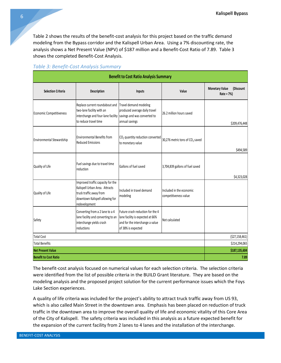Table 2 shows the results of the benefit-cost analysis for this project based on the traffic demand modeling from the Bypass corridor and the Kalispell Urban Area. Using a 7% discounting rate, the analysis shows a Net Present Value (NPV) of \$187 million and a Benefit-Cost Ratio of 7.89. Table 3 shows the completed Benefit-Cost Analysis.

#### *Table 3: Benefit-Cost Analysis Summary*

| <b>Benefit to Cost Ratio Analysis Summary</b> |                                                                                                                                                    |                                                                                                                               |                                                   |                                                  |  |
|-----------------------------------------------|----------------------------------------------------------------------------------------------------------------------------------------------------|-------------------------------------------------------------------------------------------------------------------------------|---------------------------------------------------|--------------------------------------------------|--|
| <b>Selection Criteria</b>                     | Description                                                                                                                                        | Inputs                                                                                                                        | Value                                             | <b>Monetary Value</b><br>(Discount<br>Rate = 7%) |  |
| <b>Economic Competitiveness</b>               | Replace current roundabout and<br>two-lane facility with an<br>interchange and four-lane facility<br>to reduce travel time                         | Travel demand modeling<br>produced average daily travel<br>savings and was converted to<br>annual savings                     | 26.2 million hours saved                          | \$209,476,448                                    |  |
| Environmental Stewardship                     | <b>Environmental Benefits from</b><br><b>Reduced Emissions</b>                                                                                     | CO <sub>2</sub> quantity reduction converted<br>to monetary value                                                             | 30,276 metric tons of CO <sub>2</sub> saved       | \$494,589                                        |  |
| Quality of Life                               | Fuel savings due to travel time<br>reduction                                                                                                       | Gallons of fuel saved                                                                                                         | 3,704,839 gallons of fuel saved                   | \$4,323,028                                      |  |
| Quality of Life                               | Improved traffic capacity for the<br>Kalispell Urban Area. Attracts<br>truck traffic away from<br>downtown Kalispell allowing for<br>redevelopment | Included in travel demand<br>modeling                                                                                         | Included in the economic<br>competitiveness value |                                                  |  |
| Safety                                        | Converting from a 2 lane to a 4<br>lane facility and converting to an<br>interchange yields crash<br>reductions                                    | Future crash reduction for the 4<br>lane facility is expected at 66%<br>and for the interchange a value<br>of 38% is expected | Not calculated                                    |                                                  |  |
| <b>Total Cost</b>                             | (\$27,158,461)                                                                                                                                     |                                                                                                                               |                                                   |                                                  |  |
| <b>Total Benefits</b>                         | \$214,294,065                                                                                                                                      |                                                                                                                               |                                                   |                                                  |  |
| <b>Net Present Value</b>                      |                                                                                                                                                    |                                                                                                                               |                                                   | \$187,135,604                                    |  |
| <b>Benefit to Cost Ratio</b>                  |                                                                                                                                                    |                                                                                                                               |                                                   | 7.89                                             |  |

The benefit-cost analysis focused on numerical values for each selection criteria. The selection criteria were identified from the list of possible criteria in the BUILD Grant literature. They are based on the modeling analysis and the proposed project solution for the current performance issues which the Foys Lake Section experiences.

A quality of life criteria was included for the project's ability to attract truck traffic away from US 93, which is also called Main Street in the downtown area. Emphasis has been placed on reduction of truck traffic in the downtown area to improve the overall quality of life and economic vitality of this Core Area of the City of Kalispell. The safety criteria was included in this analysis as a future expected benefit for the expansion of the current facility from 2 lanes to 4 lanes and the installation of the interchange.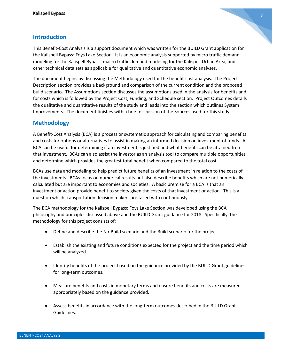# 7

# **Introduction**

This Benefit-Cost Analysis is a support document which was written for the BUILD Grant application for the Kalispell Bypass: Foys Lake Section. It is an economic analysis supported by micro traffic demand modeling for the Kalispell Bypass, macro traffic demand modeling for the Kalispell Urban Area, and other technical data sets as applicable for qualitative and quantitative economic analyses.

The document begins by discussing the Methodology used for the benefit-cost analysis. The Project Description section provides a background and comparison of the current condition and the proposed build scenario. The Assumptions section discusses the assumptions used in the analysis for benefits and for costs which is followed by the Project Cost, Funding, and Schedule section. Project Outcomes details the qualitative and quantitative results of the study and leads into the section which outlines System Improvements. The document finishes with a brief discussion of the Sources used for this study.

# **Methodology**

A Benefit-Cost Analysis (BCA) is a process or systematic approach for calculating and comparing benefits and costs for options or alternatives to assist in making an informed decision on investment of funds. A BCA can be useful for determining if an investment is justified and what benefits can be attained from that investment. BCAs can also assist the investor as an analysis tool to compare multiple opportunities and determine which provides the greatest total benefit when compared to the total cost.

BCAs use data and modeling to help predict future benefits of an investment in relation to the costs of the investments. BCAs focus on numerical results but also describe benefits which are not numerically calculated but are important to economies and societies. A basic premise for a BCA is that an investment or action provide benefit to society given the costs of that investment or action. This is a question which transportation decision makers are faced with continuously.

The BCA methodology for the Kalispell Bypass: Foys Lake Section was developed using the BCA philosophy and principles discussed above and the BUILD Grant guidance for 2018. Specifically, the methodology for this project consists of:

- Define and describe the No-Build scenario and the Build scenario for the project.
- Establish the existing and future conditions expected for the project and the time period which will be analyzed.
- Identify benefits of the project based on the guidance provided by the BUILD Grant guidelines for long-term outcomes.
- Measure benefits and costs in monetary terms and ensure benefits and costs are measured appropriately based on the guidance provided.
- Assess benefits in accordance with the long-term outcomes described in the BUILD Grant Guidelines.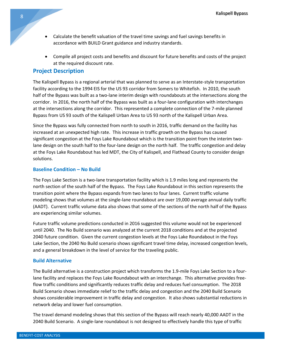- Calculate the benefit valuation of the travel time savings and fuel savings benefits in accordance with BUILD Grant guidance and industry standards.
- Compile all project costs and benefits and discount for future benefits and costs of the project at the required discount rate.

#### **Project Description**

The Kalispell Bypass is a regional arterial that was planned to serve as an Interstate-style transportation facility according to the 1994 EIS for the US 93 corridor from Somers to Whitefish. In 2010, the south half of the Bypass was built as a two-lane interim design with roundabouts at the intersections along the corridor. In 2016, the north half of the Bypass was built as a four-lane configuration with interchanges at the intersections along the corridor. This represented a complete connection of the 7-mile planned Bypass from US 93 south of the Kalispell Urban Area to US 93 north of the Kalispell Urban Area.

Since the Bypass was fully connected from north to south in 2016, traffic demand on the facility has increased at an unexpected high rate. This increase in traffic growth on the Bypass has caused significant congestion at the Foys Lake Roundabout which is the transition point from the interim twolane design on the south half to the four-lane design on the north half. The traffic congestion and delay at the Foys Lake Roundabout has led MDT, the City of Kalispell, and Flathead County to consider design solutions.

#### **Baseline Condition – No Build**

The Foys Lake Section is a two-lane transportation facility which is 1.9 miles long and represents the north section of the south half of the Bypass. The Foys Lake Roundabout in this section represents the transition point where the Bypass expands from two lanes to four lanes. Current traffic volume modeling shows that volumes at the single-lane roundabout are over 19,000 average annual daily traffic (AADT). Current traffic volume data also shows that some of the sections of the north half of the Bypass are experiencing similar volumes.

Future traffic volume predictions conducted in 2016 suggested this volume would not be experienced until 2040. The No Build scenario was analyzed at the current 2018 conditions and at the projected 2040 future condition. Given the current congestion levels at the Foys Lake Roundabout in the Foys Lake Section, the 2040 No Build scenario shows significant travel time delay, increased congestion levels, and a general breakdown in the level of service for the traveling public.

#### **Build Alternative**

The Build alternative is a construction project which transforms the 1.9-mile Foys Lake Section to a fourlane facility and replaces the Foys Lake Roundabout with an interchange. This alternative provides freeflow traffic conditions and significantly reduces traffic delay and reduces fuel consumption. The 2018 Build Scenario shows immediate relief to the traffic delay and congestion and the 2040 Build Scenario shows considerable improvement in traffic delay and congestion. It also shows substantial reductions in network delay and lower fuel consumption.

The travel demand modeling shows that this section of the Bypass will reach nearly 40,000 AADT in the 2040 Build Scenario. A single-lane roundabout is not designed to effectively handle this type of traffic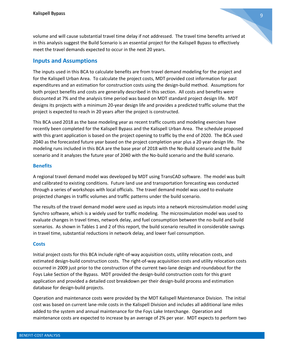volume and will cause substantial travel time delay if not addressed. The travel time benefits arrived at in this analysis suggest the Build Scenario is an essential project for the Kalispell Bypass to effectively meet the travel demands expected to occur in the next 20 years.

#### **Inputs and Assumptions**

The inputs used in this BCA to calculate benefits are from travel demand modeling for the project and for the Kalispell Urban Area. To calculate the project costs, MDT provided cost information for past expenditures and an estimation for construction costs using the design-build method. Assumptions for both project benefits and costs are generally described in this section. All costs and benefits were discounted at 7% and the analysis time period was based on MDT standard project design life. MDT designs its projects with a minimum 20-year design life and provides a predicted traffic volume that the project is expected to reach in 20 years after the project is constructed.

This BCA used 2018 as the base modeling year as recent traffic counts and modeling exercises have recently been completed for the Kalispell Bypass and the Kalispell Urban Area. The schedule proposed with this grant application is based on the project opening to traffic by the end of 2020. The BCA used 2040 as the forecasted future year based on the project completion year plus a 20 year design life. The modeling runs included in this BCA are the base year of 2018 with the No-Build scenario and the Build scenario and it analyzes the future year of 2040 with the No-build scenario and the Build scenario.

#### **Benefits**

A regional travel demand model was developed by MDT using TransCAD software. The model was built and calibrated to existing conditions. Future land use and transportation forecasting was conducted through a series of workshops with local officials. The travel demand model was used to evaluate projected changes in traffic volumes and traffic patterns under the build scenario.

The results of the travel demand model were used as inputs into a network microsimulation model using Synchro software, which is a widely used for traffic modeling. The microsimulation model was used to evaluate changes in travel times, network delay, and fuel consumption between the no-build and build scenarios. As shown in Tables 1 and 2 of this report, the build scenario resulted in considerable savings in travel time, substantial reductions in network delay, and lower fuel consumption.

#### **Costs**

Initial project costs for this BCA include right-of-way acquisition costs, utility relocation costs, and estimated design-build construction costs. The right-of-way acquisition costs and utility relocation costs occurred in 2009 just prior to the construction of the current two-lane design and roundabout for the Foys Lake Section of the Bypass. MDT provided the design-build construction costs for this grant application and provided a detailed cost breakdown per their design-build process and estimation database for design-build projects.

Operation and maintenance costs were provided by the MDT Kalispell Maintenance Division. The initial cost was based on current lane-mile costs in the Kalispell Division and includes all additional lane miles added to the system and annual maintenance for the Foys Lake Interchange. Operation and maintenance costs are expected to increase by an average of 2% per year. MDT expects to perform two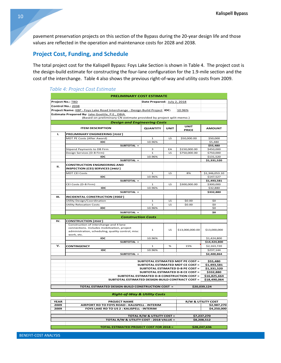pavement preservation projects on this section of the Bypass during the 20-year design life and those values are reflected in the operation and maintenance costs for 2028 and 2038.

# **Project Cost, Funding, and Schedule**

The total project cost for the Kalispell Bypass: Foys Lake Section is shown in Table 4. The project cost is the design-build estimate for constructing the four-lane configuration for the 1.9-mile section and the cost of the interchange. Table 4 also shows the previous right-of-way and utility costs from 2009.

#### *Table 4: Project Cost Estimate*

|                                                                  | <b>PRELIMINARY COST ESTIMATE</b>                                                                                                                         |                             |             |                                            |                        |  |  |
|------------------------------------------------------------------|----------------------------------------------------------------------------------------------------------------------------------------------------------|-----------------------------|-------------|--------------------------------------------|------------------------|--|--|
|                                                                  | Project No.: TBD                                                                                                                                         | Date Prepared: July 2, 2018 |             |                                            |                        |  |  |
|                                                                  | Control No.: 2038                                                                                                                                        |                             |             |                                            |                        |  |  |
|                                                                  | Project Name: KBP - Foys Lake Road Interchange - Design Build Project IDC:<br>10.96%                                                                     |                             |             |                                            |                        |  |  |
|                                                                  | Estimate Prepared By: Jake Goettle, P.E., DBIA                                                                                                           |                             |             |                                            |                        |  |  |
|                                                                  | (Based on preliminary CN estimate provided by project split memo.)                                                                                       |                             |             |                                            |                        |  |  |
|                                                                  | <b>Design and Engineering Costs</b>                                                                                                                      |                             |             |                                            |                        |  |  |
|                                                                  | <b>ITEM DESCRIPTION</b>                                                                                                                                  | <b>QUANTITY</b>             | <b>UNIT</b> | <b>UNIT</b>                                | <b>AMOUNT</b>          |  |  |
|                                                                  |                                                                                                                                                          |                             |             | <b>PRICE</b>                               |                        |  |  |
| τ.                                                               | PRELIMINARY ENGINEERING [9102]                                                                                                                           |                             |             |                                            |                        |  |  |
|                                                                  | MDT PE Costs (After Award)                                                                                                                               | $\mathbf 1$                 | LS          | \$50,000.00                                | \$50,000               |  |  |
|                                                                  | IDC                                                                                                                                                      | 10.96%                      |             |                                            | \$5,480                |  |  |
|                                                                  | SUBTOTAL =                                                                                                                                               | з                           | EA          | \$150,000.00                               | \$55,480               |  |  |
|                                                                  | Stipend Payments to DB Firm<br>Design Services (D-B Firm)                                                                                                | $\mathbf{1}$                | LS          | \$750,000.00                               | \$450,000<br>\$750,000 |  |  |
|                                                                  | <b>IDC</b>                                                                                                                                               | 10.96%                      |             |                                            | \$131,520              |  |  |
|                                                                  | SUBTOTAL =                                                                                                                                               |                             |             |                                            | \$1,331,520            |  |  |
| п.                                                               | <b>CONSTRUCTION ENGINEERING AND</b><br>INSPECTION (CEI) SERVICES [9402]                                                                                  |                             |             |                                            |                        |  |  |
|                                                                  | <b>MDT CEI Costs</b>                                                                                                                                     | $\mathbf{1}$                | LS          | 8%                                         | \$1,346,053.10         |  |  |
|                                                                  | IDC                                                                                                                                                      | 10.96%                      |             |                                            | \$147,527              |  |  |
|                                                                  | SUBTOTAL =                                                                                                                                               |                             |             |                                            | \$1,493,581            |  |  |
|                                                                  | CEI Costs (D-B Firm)                                                                                                                                     | $\mathbf{1}$                | LS          | \$300,000.00                               | \$300,000              |  |  |
|                                                                  | <b>IDC</b>                                                                                                                                               | 10.96%                      |             |                                            | \$32,880               |  |  |
|                                                                  | SUBTOTAL =                                                                                                                                               |                             |             |                                            | \$332,880              |  |  |
| ш.                                                               | INCIDENTAL CONSTRUCTION [9302]                                                                                                                           |                             |             |                                            |                        |  |  |
|                                                                  | Utility Design/Coordination                                                                                                                              | $\mathbf 1$                 | LS          | \$0.00                                     | \$0                    |  |  |
|                                                                  | <b>Utility Relocation Costs</b>                                                                                                                          | $\mathbf{1}$                | LS          | \$0.00                                     | \$0                    |  |  |
|                                                                  | IDC                                                                                                                                                      | 10.96%                      |             |                                            | \$0                    |  |  |
| SUBTOTAL =                                                       |                                                                                                                                                          |                             |             |                                            |                        |  |  |
|                                                                  | <b>Construction Costs</b>                                                                                                                                |                             |             |                                            |                        |  |  |
| IV.                                                              | <b>CONSTRUCTION [9502]</b>                                                                                                                               |                             |             |                                            |                        |  |  |
|                                                                  | Construction of interchange and 4 lane<br>connections. Includes mobilization, project<br>administration, scheduling, quality control, misc<br>work, etc. | $\mathbf{1}$                | LS          | \$13,000,000.00                            | \$13,000,000           |  |  |
|                                                                  | IDC                                                                                                                                                      | 10.96%                      |             |                                            | \$1,424,800            |  |  |
|                                                                  | SUBTOTAL =                                                                                                                                               |                             |             |                                            | \$14,424,800           |  |  |
| v.                                                               | <b>CONTINGENCY</b>                                                                                                                                       | $\mathbf{1}$                | %           | 15%                                        | \$2,163,720            |  |  |
|                                                                  | <b>IDC</b>                                                                                                                                               | 10.96%                      |             |                                            | \$237,144              |  |  |
|                                                                  | SUBTOTAL =                                                                                                                                               |                             |             |                                            | \$2,400,864            |  |  |
|                                                                  |                                                                                                                                                          |                             |             | SUBTOTAL ESTIMATED MDT PE COST =           | \$55,480               |  |  |
|                                                                  |                                                                                                                                                          |                             |             | SUBTOTAL ESTIMATED MDT CE COST =           | \$1,493,581            |  |  |
|                                                                  |                                                                                                                                                          |                             |             | <b>SUBTOTAL ESTIMATED D-B PE COST =</b>    | \$1,331,520            |  |  |
|                                                                  |                                                                                                                                                          |                             |             | <b>SUBTOTAL ESTIMATED D-B CE COST =</b>    | \$332,880              |  |  |
|                                                                  |                                                                                                                                                          |                             |             | SUBTOTAL ESTIMATED D-B CONSTRUCTION COST = | \$16,825,664           |  |  |
|                                                                  | <b>SUBTOTAL ESTIMATED DESIGN-BUILD CONTRACT COST =</b>                                                                                                   |                             |             |                                            | \$18,490,064           |  |  |
|                                                                  |                                                                                                                                                          |                             |             |                                            |                        |  |  |
| TOTAL ESTIMATED DESIGN-BUILD CONSTRUCTION COST =<br>\$20,039,124 |                                                                                                                                                          |                             |             |                                            |                        |  |  |
|                                                                  |                                                                                                                                                          |                             |             |                                            |                        |  |  |
|                                                                  | <b>Right-of-Way &amp; Utility Costs</b>                                                                                                                  |                             |             |                                            |                        |  |  |
|                                                                  | R/W & UTILITY COST<br><b>YEAR</b><br><b>PROJECT NAME</b>                                                                                                 |                             |             |                                            |                        |  |  |
| 2009                                                             | AIRPORT RD TO FOYS ROAD : KALISPELL - INTERIM                                                                                                            |                             |             |                                            |                        |  |  |
| 2009                                                             | FOYS LAKE RD TO US 2 : KALISPELL - INTERIM                                                                                                               |                             |             |                                            |                        |  |  |
|                                                                  |                                                                                                                                                          |                             |             |                                            | \$4,250,000            |  |  |
|                                                                  |                                                                                                                                                          | TOTAL R/W & UTILITY COST =  |             |                                            | \$7,237,270            |  |  |
|                                                                  | TOTAL R/W & UTILITY COST - 2018 VALUE =                                                                                                                  |                             |             |                                            | \$8,208,512            |  |  |
|                                                                  |                                                                                                                                                          |                             |             |                                            |                        |  |  |
|                                                                  | <b>TOTAL ESTIMATED PROJECT COST FOR 2018 =</b>                                                                                                           |                             |             |                                            | \$28,247,636           |  |  |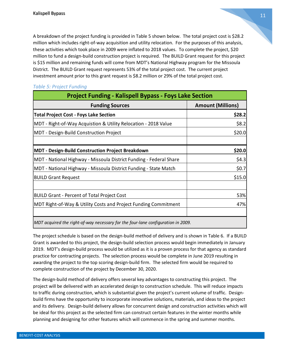A breakdown of the project funding is provided in Table 5 shown below. The total project cost is \$28.2 million which includes right-of-way acquisition and utility relocation. For the purposes of this analysis, these activities which took place in 2009 were inflated to 2018 values. To complete the project, \$20 million to fund a design-build construction project is required. The BUILD Grant request for this project is \$15 million and remaining funds will come from MDT's National Highway program for the Missoula District. The BUILD Grant request represents 53% of the total project cost. The current project investment amount prior to this grant request is \$8.2 million or 29% of the total project cost.

| <b>Project Funding - Kalispell Bypass - Foys Lake Section</b>                    |                          |  |  |  |
|----------------------------------------------------------------------------------|--------------------------|--|--|--|
| <b>Funding Sources</b>                                                           | <b>Amount (Millions)</b> |  |  |  |
| <b>Total Project Cost - Foys Lake Section</b>                                    | \$28.2                   |  |  |  |
| MDT - Right-of-Way Acquistion & Utility Relocation - 2018 Value                  | \$8.2                    |  |  |  |
| <b>MDT</b> - Design-Build Construction Project                                   | \$20.0                   |  |  |  |
| MDT - Design-Build Construction Project Breakdown                                | \$20.0                   |  |  |  |
| MDT - National Highway - Missoula District Funding - Federal Share               | \$4.3                    |  |  |  |
| MDT - National Highway - Missoula District Funding - State Match                 | \$0.7                    |  |  |  |
| <b>BUILD Grant Request</b>                                                       | \$15.0                   |  |  |  |
| <b>BUILD Grant - Percent of Total Project Cost</b>                               | 53%                      |  |  |  |
| MDT Right-of-Way & Utility Costs and Project Funding Commitment                  | 47%                      |  |  |  |
| MDT acquired the right-of-way necessary for the four-lane configuration in 2009. |                          |  |  |  |

#### *Table 5: Project Funding*

The project schedule is based on the design-build method of delivery and is shown in Table 6. If a BUILD Grant is awarded to this project, the design-build selection process would begin immediately in January 2019. MDT's design-build process would be utilized as it is a proven process for that agency as standard practice for contracting projects. The selection process would be complete in June 2019 resulting in awarding the project to the top scoring design-build firm. The selected firm would be required to complete construction of the project by December 30, 2020.

The design-build method of delivery offers several key advantages to constructing this project. The project will be delivered with an accelerated design to construction schedule. This will reduce impacts to traffic during construction, which is substantial given the project's current volume of traffic. Designbuild firms have the opportunity to incorporate innovative solutions, materials, and ideas to the project and its delivery. Design-build delivery allows for concurrent design and construction activities which will be ideal for this project as the selected firm can construct certain features in the winter months while planning and designing for other features which will commence in the spring and summer months.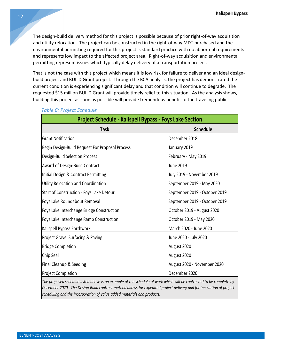The design-build delivery method for this project is possible because of prior right-of-way acquisition and utility relocation. The project can be constructed in the right-of-way MDT purchased and the environmental permitting required for this project is standard practice with no abnormal requirements and represents low impact to the affected project area. Right-of-way acquisition and environmental permitting represent issues which typically delay delivery of a transportation project.

That is not the case with this project which means it is low risk for failure to deliver and an ideal designbuild project and BUILD Grant project. Through the BCA analysis, the project has demonstrated the current condition is experiencing significant delay and that condition will continue to degrade. The requested \$15 million BUILD Grant will provide timely relief to this situation. As the analysis shows, building this project as soon as possible will provide tremendous benefit to the traveling public.

| <b>Project Schedule - Kalispell Bypass - Foys Lake Section</b> |                               |  |  |  |
|----------------------------------------------------------------|-------------------------------|--|--|--|
| <b>Task</b>                                                    | <b>Schedule</b>               |  |  |  |
| <b>Grant Notification</b>                                      | December 2018                 |  |  |  |
| Begin Design-Build Request For Proposal Process                | January 2019                  |  |  |  |
| Design-Build Selection Process                                 | February - May 2019           |  |  |  |
| Award of Design-Build Contract                                 | <b>June 2019</b>              |  |  |  |
| Initial Design & Contract Permitting                           | July 2019 - November 2019     |  |  |  |
| Utility Relocation and Coordination                            | September 2019 - May 2020     |  |  |  |
| Start of Construction - Foys Lake Detour                       | September 2019 - October 2019 |  |  |  |
| Foys Lake Roundabout Removal                                   | September 2019 - October 2019 |  |  |  |
| Foys Lake Interchange Bridge Construction                      | October 2019 - August 2020    |  |  |  |
| Foys Lake Interchange Ramp Construction                        | October 2019 - May 2020       |  |  |  |
| Kalispell Bypass Earthwork                                     | March 2020 - June 2020        |  |  |  |
| <b>Project Gravel Surfacing &amp; Paving</b>                   | June 2020 - July 2020         |  |  |  |
| <b>Bridge Completion</b>                                       | August 2020                   |  |  |  |
| Chip Seal                                                      | August 2020                   |  |  |  |
| Final Cleanup & Seeding                                        | August 2020 - November 2020   |  |  |  |
| <b>Project Completion</b>                                      | December 2020                 |  |  |  |

#### *Table 6: Project Schedule*

*The proposed schedule listed above is an example of the schedule of work which will be contracted to be complete by December 2020. The Design-Build contract method allows for expedited project delivery and for innovation of project scheduling and the incorporation of value added materials and products.*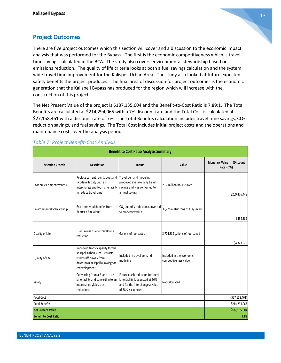

# **Project Outcomes**

There are five project outcomes which this section will cover and a discussion to the economic impact analysis that was performed for the Bypass. The first is the economic competitiveness which is travel time savings calculated in the BCA. The study also covers environmental stewardship based on emissions reduction. The quality of life criteria looks at both a fuel savings calculation and the system wide travel time improvement for the Kalispell Urban Area. The study also looked at future expected safety benefits the project produces. The final area of discussion for project outcomes is the economic generation that the Kalispell Bypass has produced for the region which will increase with the construction of this project.

The Net Present Value of the project is \$187,135,604 and the Benefit-to-Cost Ratio is 7.89:1. The Total Benefits are calculated at \$214,294,065 with a 7% discount rate and the Total Cost is calculated at \$27,158,461 with a discount rate of 7%. The Total Benefits calculation includes travel time savings,  $CO<sub>2</sub>$ reduction savings, and fuel savings. The Total Cost includes initial project costs and the operations and maintenance costs over the analysis period.

| <b>Benefit to Cost Ratio Analysis Summary</b> |                                                                                                                                                    |                                                                                                                               |                                                   |                                                  |  |
|-----------------------------------------------|----------------------------------------------------------------------------------------------------------------------------------------------------|-------------------------------------------------------------------------------------------------------------------------------|---------------------------------------------------|--------------------------------------------------|--|
| <b>Selection Criteria</b>                     | Description                                                                                                                                        | Inputs                                                                                                                        | Value                                             | <b>Monetary Value</b><br>(Discount<br>Rate = 7%) |  |
| <b>Economic Competitiveness</b>               | Replace current roundabout and<br>two-lane facility with an<br>interchange and four-lane facility<br>to reduce travel time                         | Travel demand modeling<br>produced average daily travel<br>savings and was converted to<br>annual savings                     | 26.2 million hours saved                          | \$209,476,448                                    |  |
| Environmental Stewardship                     | <b>Environmental Benefits from</b><br><b>Reduced Emissions</b>                                                                                     | CO <sub>2</sub> quantity reduction converted<br>to monetary value                                                             | 30,276 metric tons of CO <sub>2</sub> saved       | \$494,589                                        |  |
| Quality of Life                               | Fuel savings due to travel time<br>reduction                                                                                                       | Gallons of fuel saved                                                                                                         | 3,704,839 gallons of fuel saved                   | \$4,323,028                                      |  |
| Quality of Life                               | Improved traffic capacity for the<br>Kalispell Urban Area. Attracts<br>truck traffic away from<br>downtown Kalispell allowing for<br>redevelopment | Included in travel demand<br>modeling                                                                                         | Included in the economic<br>competitiveness value |                                                  |  |
| Safety                                        | Converting from a 2 lane to a 4<br>lane facility and converting to an<br>interchange yields crash<br>reductions                                    | Future crash reduction for the 4<br>lane facility is expected at 66%<br>and for the interchange a value<br>of 38% is expected | Not calculated                                    |                                                  |  |
| <b>Total Cost</b>                             | (527, 158, 461)                                                                                                                                    |                                                                                                                               |                                                   |                                                  |  |
| <b>Total Benefits</b>                         | \$214,294,065                                                                                                                                      |                                                                                                                               |                                                   |                                                  |  |
| <b>Net Present Value</b>                      |                                                                                                                                                    |                                                                                                                               |                                                   | \$187,135,604                                    |  |
| <b>Benefit to Cost Ratio</b>                  |                                                                                                                                                    |                                                                                                                               |                                                   | 7.89                                             |  |

#### *Table 7: Project Benefit-Cost Analysis*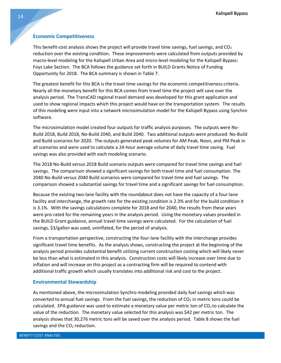#### **Economic Competitiveness**

This benefit-cost analysis shows the project will provide travel time savings, fuel savings, and  $CO<sub>2</sub>$ reduction over the existing condition. These improvements were calculated from outputs provided by macro-level modeling for the Kalispell Urban Area and micro-level modeling for the Kalispell Bypass: Foys Lake Section. The BCA follows the guidance set forth in BUILD Grants Notice of Funding Opportunity for 2018. The BCA summary is shown in Table 7.

The greatest benefit for this BCA is the travel time savings for the economic competitiveness criteria. Nearly all the monetary benefit for this BCA comes from travel time the project will save over the analysis period. The TransCAD regional travel demand was developed for this grant application and used to show regional impacts which this project would have on the transportation system. The results of this modeling were input into a network microsimulation model for the Kalispell Bypass using Synchro software.

The microsimulation model created four outputs for traffic analysis purposes. The outputs were No-Build 2018, Build 2018, No-Build 2040, and Build 2040. Two additional outputs were produced: No-Build and Build scenarios for 2020. The outputs generated peak volumes for AM Peak, Noon, and PM Peak in all scenarios and were used to calculate a 24-hour average volume of daily travel time saving. Fuel savings was also provided with each modeling scenario.

The 2018 No-Build versus 2018 Build scenario outputs were compared for travel time savings and fuel savings. The comparison showed a significant savings for both travel time and fuel consumption. The 2040 No-Build versus 2040 Build scenarios were compared for travel time and fuel savings. The comparison showed a substantial savings for travel time and a significant savings for fuel consumption.

Because the existing two-lane facility with the roundabout does not have the capacity of a four-lane facility and interchange, the growth rate for the existing condition is 2.3% and for the build condition it is 3.1%. With the savings calculations complete for 2018 and for 2040, the results from these years were pro-rated for the remaining years in the analysis period. Using the monetary values provided in the BUILD Grant guidance, annual travel time savings were calculated. For the calculation of fuel savings, \$3/gallon was used, uninflated, for the period of analysis.

From a transportation perspective, constructing the four-lane facility with the interchange provides significant travel time benefits. As the analysis shows, constructing the project at the beginning of the analysis period provides substantial benefit utilizing current construction costing which will likely never be less than what is estimated in this analysis. Construction costs will likely increase over time due to inflation and will increase on this project as a contracting firm will be required to contend with additional traffic growth which usually translates into additional risk and cost to the project.

#### **Environmental Stewardship**

As mentioned above, the microsimulation Synchro modeling provided daily fuel savings which was converted to annual fuel savings. From the fuel savings, the reduction of  $CO<sub>2</sub>$  in metric tons could be calculated. EPA guidance was used to estimate a monetary value per metric ton of  $CO<sub>2</sub>$  to calculate the value of the reduction. The monetary value selected for this analysis was \$42 per metric ton. The analysis shows that 30,276 metric tons will be saved over the analysis period. Table 8 shows the fuel savings and the  $CO<sub>2</sub>$  reduction.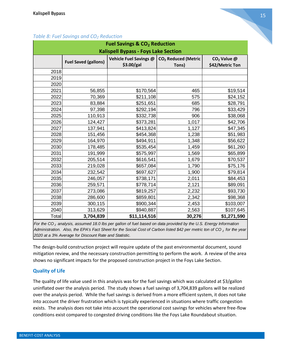| <b>Fuel Savings &amp; CO<sub>2</sub> Reduction</b> |                                             |                                      |                                          |                                            |  |  |  |
|----------------------------------------------------|---------------------------------------------|--------------------------------------|------------------------------------------|--------------------------------------------|--|--|--|
|                                                    | <b>Kalispell Bypass - Foys Lake Section</b> |                                      |                                          |                                            |  |  |  |
|                                                    | <b>Fuel Saved (gallons)</b>                 | Vehicle Fuel Savings @<br>\$3.00/gal | CO <sub>2</sub> Reduced (Metric<br>Tons) | CO <sub>2</sub> Value @<br>\$42/Metric Ton |  |  |  |
| 2018                                               |                                             |                                      |                                          |                                            |  |  |  |
| 2019                                               |                                             |                                      |                                          |                                            |  |  |  |
| 2020                                               |                                             |                                      |                                          |                                            |  |  |  |
| 2021                                               | 56,855                                      | \$170,564                            | 465                                      | \$19,514                                   |  |  |  |
| 2022                                               | 70,369                                      | \$211,108                            | 575                                      | \$24,152                                   |  |  |  |
| 2023                                               | 83,884                                      | \$251,651                            | 685                                      | \$28,791                                   |  |  |  |
| 2024                                               | 97,398                                      | \$292,194                            | 796                                      | \$33,429                                   |  |  |  |
| 2025                                               | 110,913                                     | \$332,738                            | 906                                      | \$38,068                                   |  |  |  |
| 2026                                               | 124,427                                     | \$373,281                            | 1,017                                    | \$42,706                                   |  |  |  |
| 2027                                               | 137,941                                     | \$413,824                            | 1,127                                    | \$47,345                                   |  |  |  |
| 2028                                               | 151,456                                     | \$454,368                            | 1,238                                    | \$51,983                                   |  |  |  |
| 2029                                               | 164,970                                     | \$494,911                            | 1,348                                    | \$56,622                                   |  |  |  |
| 2030                                               | 178,485                                     | \$535,454                            | 1,459                                    | \$61,260                                   |  |  |  |
| 2031                                               | 191,999                                     | \$575,997                            | 1,569                                    | \$65,899                                   |  |  |  |
| 2032                                               | 205,514                                     | \$616,541                            | 1,679                                    | \$70,537                                   |  |  |  |
| 2033                                               | 219,028                                     | \$657,084                            | 1,790                                    | \$75,176                                   |  |  |  |
| 2034                                               | 232,542                                     | \$697,627                            | 1,900                                    | \$79,814                                   |  |  |  |
| 2035                                               | 246,057                                     | \$738,171                            | 2,011                                    | \$84,453                                   |  |  |  |
| 2036                                               | 259,571                                     | \$778,714                            | 2,121                                    | \$89,091                                   |  |  |  |
| 2037                                               | 273,086                                     | \$819,257                            | 2,232                                    | \$93,730                                   |  |  |  |
| 2038                                               | 286,600                                     | \$859,801                            | 2,342                                    | \$98,368                                   |  |  |  |
| 2039                                               | 300,115                                     | \$900,344                            | 2,453                                    | \$103,007                                  |  |  |  |
| 2040                                               | 313,629                                     | \$940,887                            | 2,563                                    | \$107,645                                  |  |  |  |
| Total                                              | 3,704,839                                   | \$11,114,516                         | 30,276                                   | \$1,271,590                                |  |  |  |

#### *Table 8: Fuel Savings and CO<sup>2</sup> Reduction*

*For the CO <sup>2</sup> analysis, assumed 18.0 lbs per gallon of fuel based on data provided by the U.S. Energy Information Administration. Also, the EPA's Fact Sheet for the Social Cost of Carbon listed \$42 per metric ton of CO <sup>2</sup> for the year 2020 at a 3% Average for Discount Rate and Statistic.*

The design-build construction project will require update of the past environmental document, sound mitigation review, and the necessary construction permitting to perform the work. A review of the area shows no significant impacts for the proposed construction project in the Foys Lake Section.

#### **Quality of Life**

The quality of life value used in this analysis was for the fuel savings which was calculated at \$3/gallon uninflated over the analysis period. The study shows a fuel savings of 3,704,839 gallons will be realized over the analysis period. While the fuel savings is derived from a more efficient system, it does not take into account the driver frustration which is typically experienced in situations where traffic congestion exists. The analysis does not take into account the operational cost savings for vehicles where free-flow conditions exist compared to congested driving conditions like the Foys Lake Roundabout situation.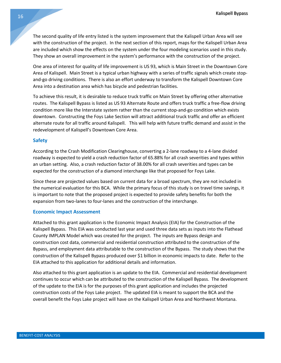The second quality of life entry listed is the system improvement that the Kalispell Urban Area will see with the construction of the project. In the next section of this report, maps for the Kalispell Urban Area are included which show the effects on the system under the four modeling scenarios used in this study. They show an overall improvement in the system's performance with the construction of the project.

One area of interest for quality of life improvement is US 93, which is Main Street in the Downtown Core Area of Kalispell. Main Street is a typical urban highway with a series of traffic signals which create stopand-go driving conditions. There is also an effort underway to transform the Kalispell Downtown Core Area into a destination area which has bicycle and pedestrian facilities.

To achieve this result, it is desirable to reduce truck traffic on Main Street by offering other alternative routes. The Kalispell Bypass is listed as US 93 Alternate Route and offers truck traffic a free-flow driving condition more like the Interstate system rather than the current stop-and-go condition which exists downtown. Constructing the Foys Lake Section will attract additional truck traffic and offer an efficient alternate route for all traffic around Kalispell. This will help with future traffic demand and assist in the redevelopment of Kalispell's Downtown Core Area.

#### **Safety**

According to the Crash Modification Clearinghouse, converting a 2-lane roadway to a 4-lane divided roadway is expected to yield a crash reduction factor of 65.88% for all crash severities and types within an urban setting. Also, a crash reduction factor of 38.00% for all crash severities and types can be expected for the construction of a diamond interchange like that proposed for Foys Lake.

Since these are projected values based on current data for a broad spectrum, they are not included in the numerical evaluation for this BCA. While the primary focus of this study is on travel time savings, it is important to note that the proposed project is expected to provide safety benefits for both the expansion from two-lanes to four-lanes and the construction of the interchange.

#### **Economic Impact Assessment**

Attached to this grant application is the Economic Impact Analysis (EIA) for the Construction of the Kalispell Bypass. This EIA was conducted last year and used three data sets as inputs into the Flathead County IMPLAN Model which was created for the project. The inputs are Bypass design and construction cost data, commercial and residential construction attributed to the construction of the Bypass, and employment data attributable to the construction of the Bypass. The study shows that the construction of the Kalispell Bypass produced over \$1 billion in economic impacts to date. Refer to the EIA attached to this application for additional details and information.

Also attached to this grant application is an update to the EIA. Commercial and residential development continues to occur which can be attributed to the construction of the Kalispell Bypass. The development of the update to the EIA is for the purposes of this grant application and includes the projected construction costs of the Foys Lake project. The updated EIA is meant to support the BCA and the overall benefit the Foys Lake project will have on the Kalispell Urban Area and Northwest Montana.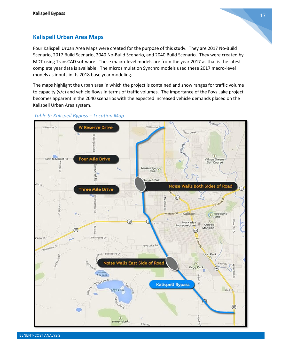

# **Kalispell Urban Area Maps**

Four Kalispell Urban Area Maps were created for the purpose of this study. They are 2017 No-Build Scenario, 2017 Build Scenario, 2040 No-Build Scenario, and 2040 Build Scenario. They were created by MDT using TransCAD software. These macro-level models are from the year 2017 as that is the latest complete year data is available. The microsimulation Synchro models used these 2017 macro-level models as inputs in its 2018 base year modeling.

The maps highlight the urban area in which the project is contained and show ranges for traffic volume to capacity (v/c) and vehicle flows in terms of traffic volumes. The importance of the Foys Lake project becomes apparent in the 2040 scenarios with the expected increased vehicle demands placed on the Kalispell Urban Area system.



#### *Table 9: Kalispell Bypass – Location Map*

BENEFIT-COST ANALYSIS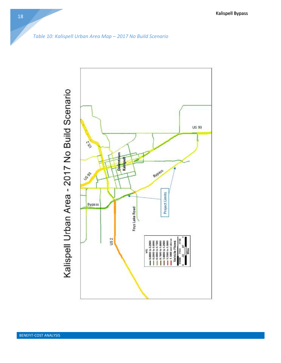

*Table 10: Kalispell Urban Area Map – 2017 No Build Scenario*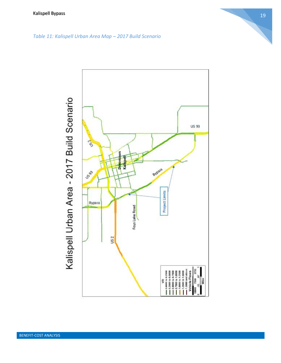

# *Table 11: Kalispell Urban Area Map – 2017 Build Scenario*

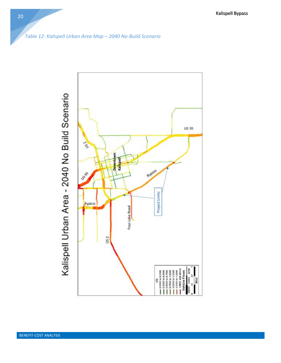



20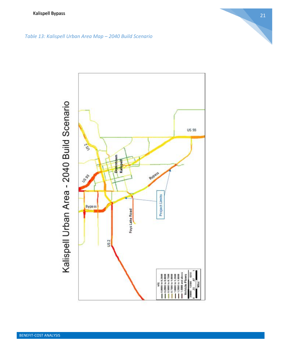